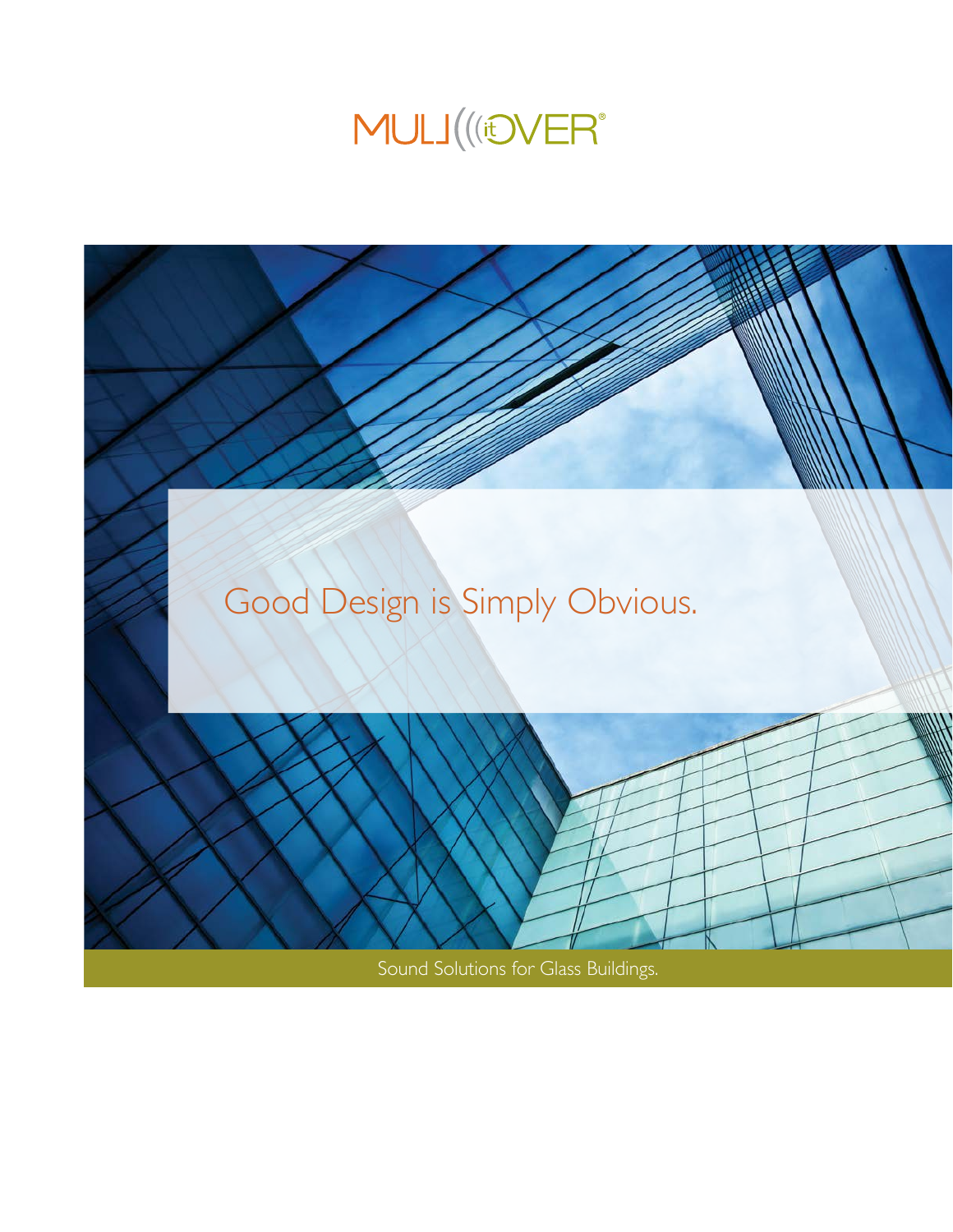

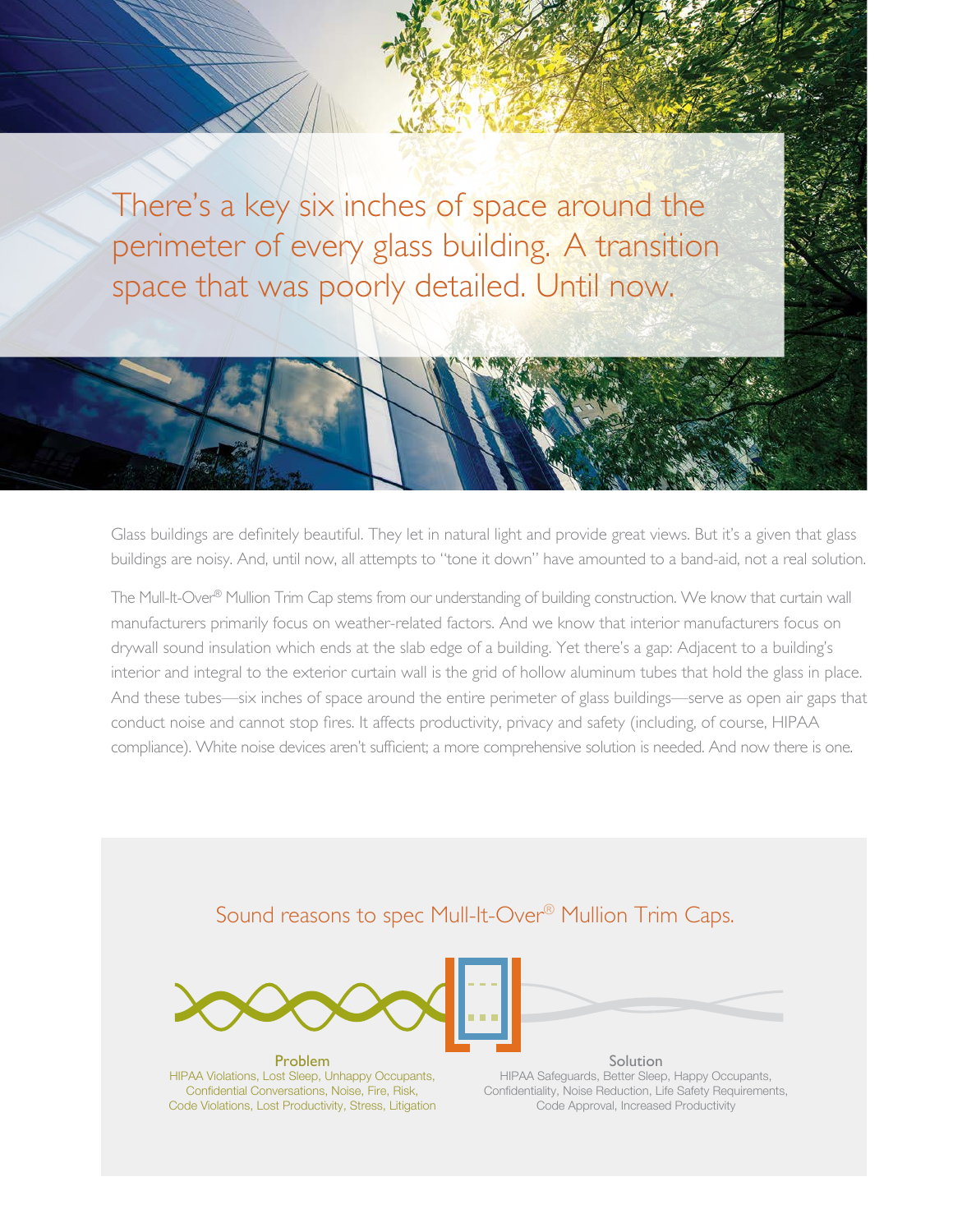There's a key six inches of space around the perimeter of every glass building. A transition space that was poorly detailed. Until now.

Glass buildings are definitely beautiful. They let in natural light and provide great views. But it's a given that glass buildings are noisy. And, until now, all attempts to "tone it down" have amounted to a band-aid, not a real solution.

The Mull-It-Over® Mullion Trim Cap stems from our understanding of building construction. We know that curtain wall manufacturers primarily focus on weather-related factors. And we know that interior manufacturers focus on drywall sound insulation which ends at the slab edge of a building. Yet there's a gap: Adjacent to a building's interior and integral to the exterior curtain wall is the grid of hollow aluminum tubes that hold the glass in place. And these tubes—six inches of space around the entire perimeter of glass buildings—serve as open air gaps that conduct noise and cannot stop fires. It affects productivity, privacy and safety (including, of course, HIPAA compliance). White noise devices aren't sufficient; a more comprehensive solution is needed. And now there is one.

# Sound reasons to spec Mull-It-Over® Mullion Trim Caps.



Problem HIPAA Violations, Lost Sleep, Unhappy Occupants, Confidential Conversations, Noise, Fire, Risk, Code Violations, Lost Productivity, Stress, Litigation

Solution HIPAA Safeguards, Better Sleep, Happy Occupants, Confidentiality, Noise Reduction, Life Safety Requirements, Code Approval, Increased Productivity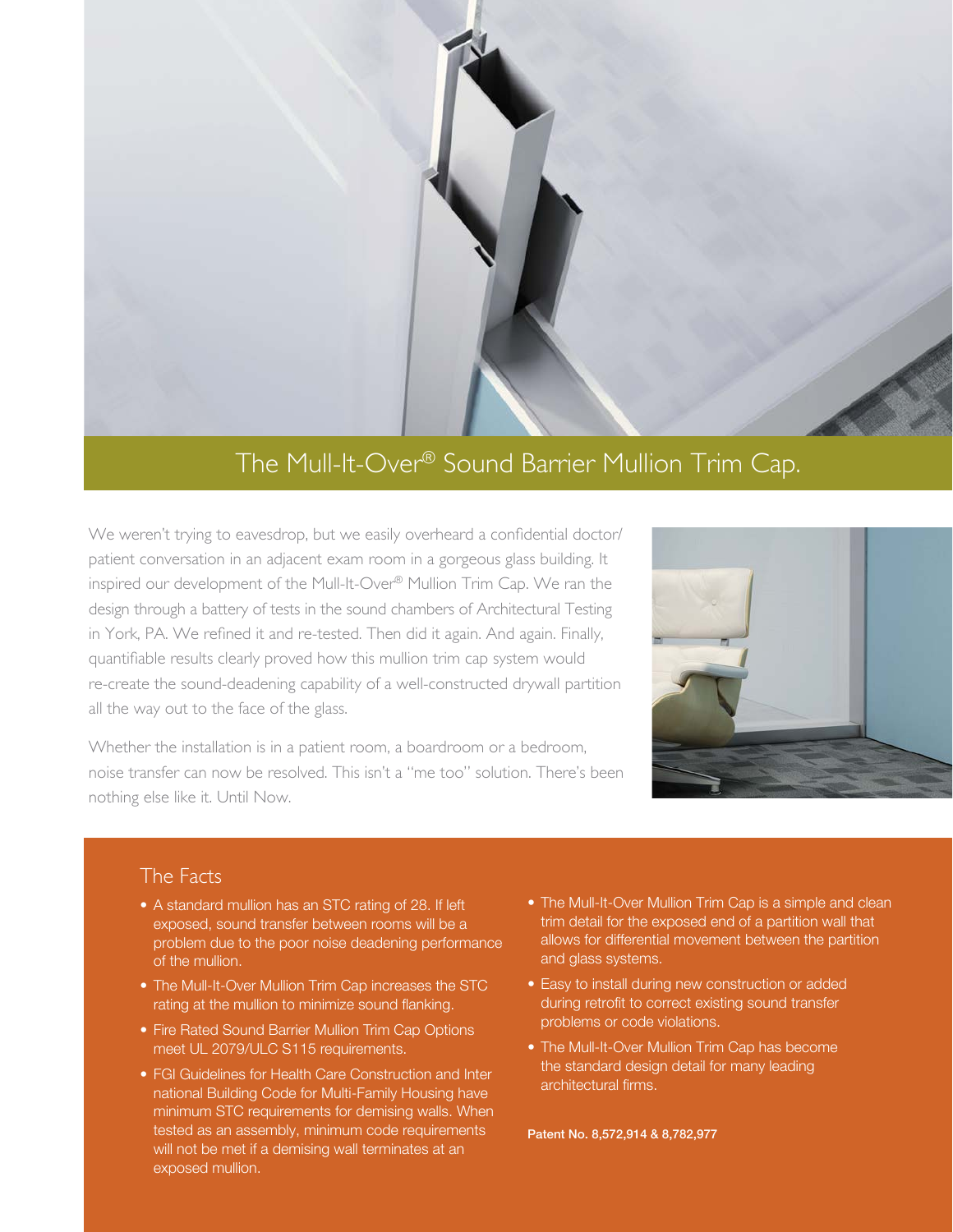

# The Mull-It-Over® Sound Barrier Mullion Trim Cap.

We weren't trying to eavesdrop, but we easily overheard a confidential doctor/ patient conversation in an adjacent exam room in a gorgeous glass building. It inspired our development of the Mull-It-Over® Mullion Trim Cap. We ran the design through a battery of tests in the sound chambers of Architectural Testing in York, PA. We refined it and re-tested. Then did it again. And again. Finally, quantifiable results clearly proved how this mullion trim cap system would re-create the sound-deadening capability of a well-constructed drywall partition all the way out to the face of the glass.

Whether the installation is in a patient room, a boardroom or a bedroom, noise transfer can now be resolved. This isn't a "me too" solution. There's been nothing else like it. Until Now.



## The Facts

- A standard mullion has an STC rating of 28. If left exposed, sound transfer between rooms will be a problem due to the poor noise deadening performance of the mullion.
- The Mull-It-Over Mullion Trim Cap increases the STC rating at the mullion to minimize sound flanking.
- Fire Rated Sound Barrier Mullion Trim Cap Options meet UL 2079/ULC S115 requirements.
- FGI Guidelines for Health Care Construction and Inter national Building Code for Multi-Family Housing have minimum STC requirements for demising walls. When tested as an assembly, minimum code requirements will not be met if a demising wall terminates at an exposed mullion.
- The Mull-It-Over Mullion Trim Cap is a simple and clean trim detail for the exposed end of a partition wall that allows for differential movement between the partition and glass systems.
- Easy to install during new construction or added during retrofit to correct existing sound transfer problems or code violations.
- The Mull-It-Over Mullion Trim Cap has become the standard design detail for many leading architectural firms.

Patent No. 8,572,914 & 8,782,977